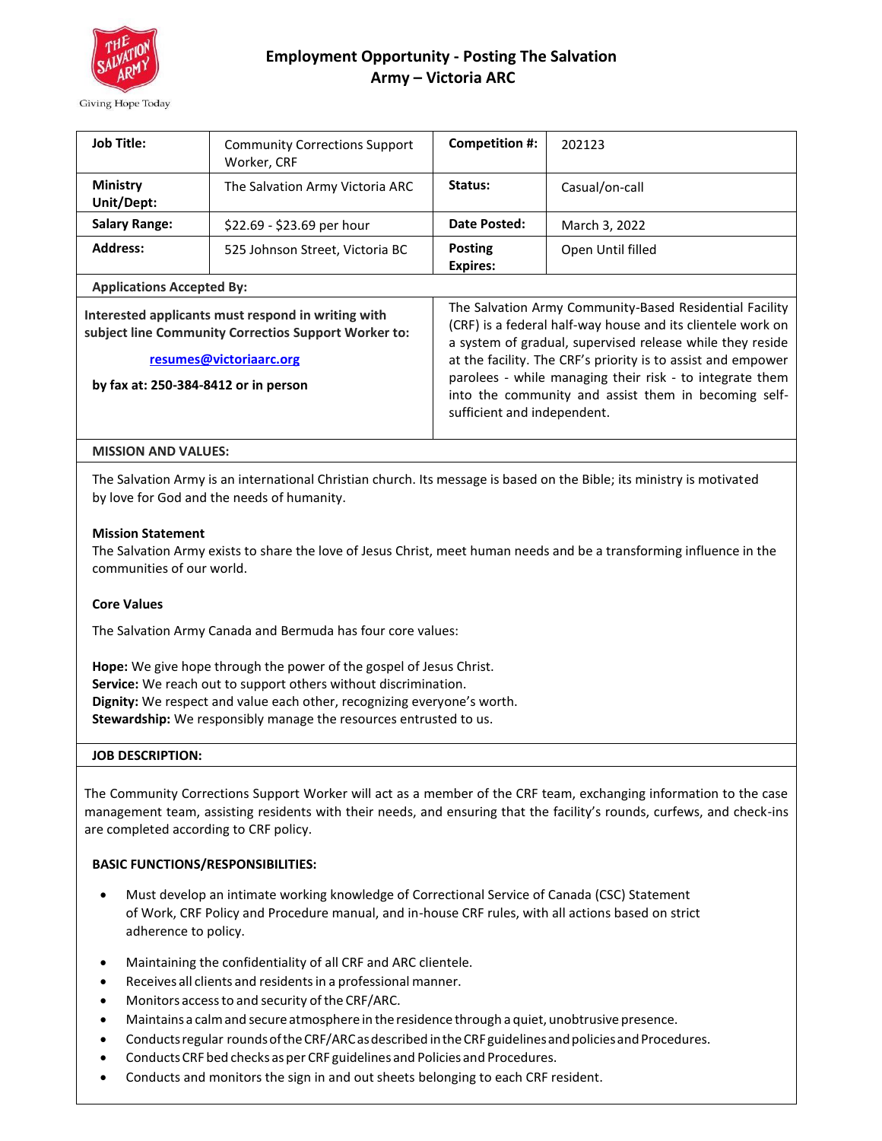

# **Employment Opportunity - Posting The Salvation Army – Victoria ARC**

| <b>Job Title:</b>                                                                                                                                                             | <b>Community Corrections Support</b><br>Worker, CRF | Competition #:                                                                                                                                                                                                                                                                                                                                                                                         | 202123            |
|-------------------------------------------------------------------------------------------------------------------------------------------------------------------------------|-----------------------------------------------------|--------------------------------------------------------------------------------------------------------------------------------------------------------------------------------------------------------------------------------------------------------------------------------------------------------------------------------------------------------------------------------------------------------|-------------------|
| <b>Ministry</b><br>Unit/Dept:                                                                                                                                                 | The Salvation Army Victoria ARC                     | Status:                                                                                                                                                                                                                                                                                                                                                                                                | Casual/on-call    |
| <b>Salary Range:</b>                                                                                                                                                          | \$22.69 - \$23.69 per hour                          | Date Posted:                                                                                                                                                                                                                                                                                                                                                                                           | March 3, 2022     |
| <b>Address:</b>                                                                                                                                                               | 525 Johnson Street, Victoria BC                     | <b>Posting</b><br>Expires:                                                                                                                                                                                                                                                                                                                                                                             | Open Until filled |
| <b>Applications Accepted By:</b>                                                                                                                                              |                                                     |                                                                                                                                                                                                                                                                                                                                                                                                        |                   |
| Interested applicants must respond in writing with<br>subject line Community Correctios Support Worker to:<br>resumes@victoriaarc.org<br>by fax at: 250-384-8412 or in person |                                                     | The Salvation Army Community-Based Residential Facility<br>(CRF) is a federal half-way house and its clientele work on<br>a system of gradual, supervised release while they reside<br>at the facility. The CRF's priority is to assist and empower<br>parolees - while managing their risk - to integrate them<br>into the community and assist them in becoming self-<br>sufficient and independent. |                   |
| <b>MISSION AND VALUES:</b>                                                                                                                                                    |                                                     |                                                                                                                                                                                                                                                                                                                                                                                                        |                   |

The Salvation Army is an international Christian church. Its message is based on the Bible; its ministry is motivated by love for God and the needs of humanity.

## **Mission Statement**

The Salvation Army exists to share the love of Jesus Christ, meet human needs and be a transforming influence in the communities of our world.

## **Core Values**

The Salvation Army Canada and Bermuda has four core values:

**Hope:** We give hope through the power of the gospel of Jesus Christ. **Service:** We reach out to support others without discrimination. **Dignity:** We respect and value each other, recognizing everyone's worth. **Stewardship:** We responsibly manage the resources entrusted to us.

#### **JOB DESCRIPTION:**

The Community Corrections Support Worker will act as a member of the CRF team, exchanging information to the case management team, assisting residents with their needs, and ensuring that the facility's rounds, curfews, and check-ins are completed according to CRF policy.

## **BASIC FUNCTIONS/RESPONSIBILITIES:**

- Must develop an intimate working knowledge of Correctional Service of Canada (CSC) Statement of Work, CRF Policy and Procedure manual, and in-house CRF rules, with all actions based on strict adherence to policy.
- Maintaining the confidentiality of all CRF and ARC clientele.
- Receives all clients and residents in a professional manner.
- Monitors access to and security of the CRF/ARC.
- Maintainsa calmand secureatmosphere in the residence through a quiet, unobtrusive presence.
- Conducts regular rounds of the CRF/ARC as described in the CRF guidelines and policies and Procedures.
- ConductsCRF bed checks asper CRF guidelines and Policies and Procedures.
- Conducts and monitors the sign in and out sheets belonging to each CRF resident.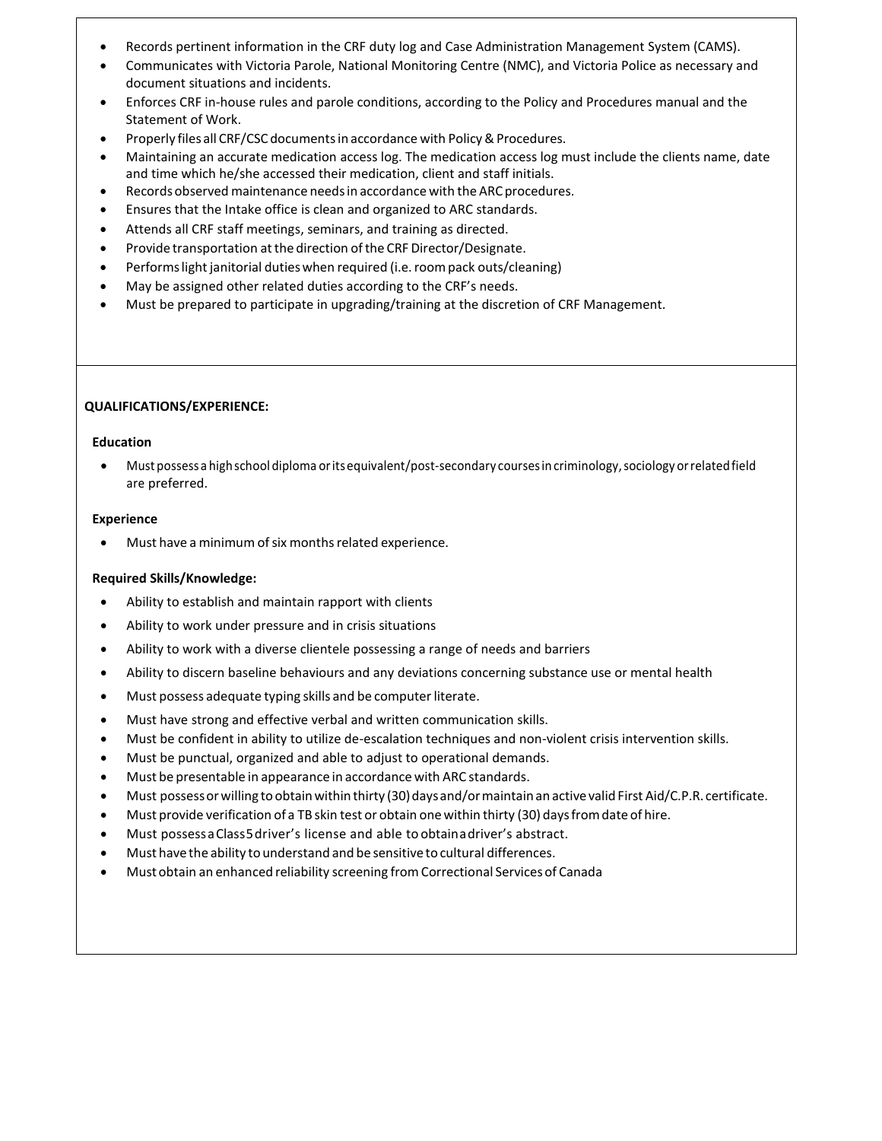- Records pertinent information in the CRF duty log and Case Administration Management System (CAMS).
- Communicates with Victoria Parole, National Monitoring Centre (NMC), and Victoria Police as necessary and document situations and incidents.
- Enforces CRF in-house rules and parole conditions, according to the Policy and Procedures manual and the Statement of Work.
- Properly files all CRF/CSC documents in accordance with Policy & Procedures.
- Maintaining an accurate medication access log. The medication access log must include the clients name, date and time which he/she accessed their medication, client and staff initials.
- Records observed maintenance needs in accordance with the ARC procedures.
- Ensures that the Intake office is clean and organized to ARC standards.
- Attends all CRF staff meetings, seminars, and training as directed.
- Provide transportation at the direction of the CRF Director/Designate.
- Performs light janitorial duties when required (i.e. room pack outs/cleaning)
- May be assigned other related duties according to the CRF's needs.
- Must be prepared to participate in upgrading/training at the discretion of CRF Management.

## **QUALIFICATIONS/EXPERIENCE:**

#### **Education**

• Must possessa highschool diploma oritsequivalent/post-secondary coursesincriminology,sociology orrelatedfield are preferred.

#### **Experience**

Must have a minimum of six months related experience.

## **Required Skills/Knowledge:**

- Ability to establish and maintain rapport with clients
- Ability to work under pressure and in crisis situations
- Ability to work with a diverse clientele possessing a range of needs and barriers
- Ability to discern baseline behaviours and any deviations concerning substance use or mental health
- Must possess adequate typing skills and be computer literate.
- Must have strong and effective verbal and written communication skills.
- Must be confident in ability to utilize de-escalation techniques and non-violent crisis intervention skills.
- Must be punctual, organized and able to adjust to operational demands.
- Must be presentable in appearance in accordance with ARC standards.
- Must possess or willing to obtain within thirty (30) days and/or maintain an active valid First Aid/C.P.R. certificate.
- Must provide verification of a TB skin test or obtain one within thirty (30) days from date of hire.
- Must possessaClass5driver's license and able to obtainadriver's abstract.
- Must have the ability to understand and be sensitive to cultural differences.
- Must obtain an enhanced reliability screening fromCorrectional Servicesof Canada